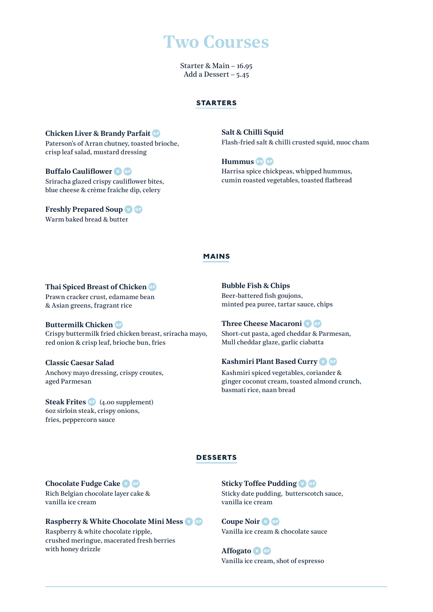# **Two Courses**

Starter & Main – 16.95 Add a Dessert – 5.45

### **starters**

**Chicken Liver & Brandy Parfait** Paterson's of Arran chutney, toasted brioche, crisp leaf salad, mustard dressing

**Buffalo Cauliflower** Sriracha glazed crispy cauliflower bites, blue cheese & crème fraiche dip, celery

**Freshly Prepared Soup** Warm baked bread & butter

**Salt & Chilli Squid** Flash-fried salt & chilli crusted squid, nuoc cham

**Hummus** Harrisa spice chickpeas, whipped hummus, cumin roasted vegetables, toasted flatbread

## **mains**

#### **Thai Spiced Breast of Chicken**

Prawn cracker crust, edamame bean & Asian greens, fragrant rice

**Buttermilk Chicken** Crispy buttermilk fried chicken breast, sriracha mayo,

red onion & crisp leaf, brioche bun, fries

**Classic Caesar Salad**  Anchovy mayo dressing, crispy croutes, aged Parmesan

**Steak Frites** (4.00 supplement) 6oz sirloin steak, crispy onions, fries, peppercorn sauce

**Bubble Fish & Chips**  Beer-battered fish goujons, minted pea puree, tartar sauce, chips

**Three Cheese Macaroni** Short-cut pasta, aged cheddar & Parmesan, Mull cheddar glaze, garlic ciabatta

# **Kashmiri Plant Based Curry**

Kashmiri spiced vegetables, coriander & ginger coconut cream, toasted almond crunch, basmati rice, naan bread

# **desserts**

## **Chocolate Fudge Cake**

Rich Belgian chocolate layer cake & vanilla ice cream

## **Raspberry & White Chocolate Mini Mess** Raspberry & white chocolate ripple,

crushed meringue, macerated fresh berries with honey drizzle

**Sticky Toffee Pudding** Sticky date pudding, butterscotch sauce, vanilla ice cream

**Coupe Noir** Vanilla ice cream & chocolate sauce

**Affogato** Vanilla ice cream, shot of espresso